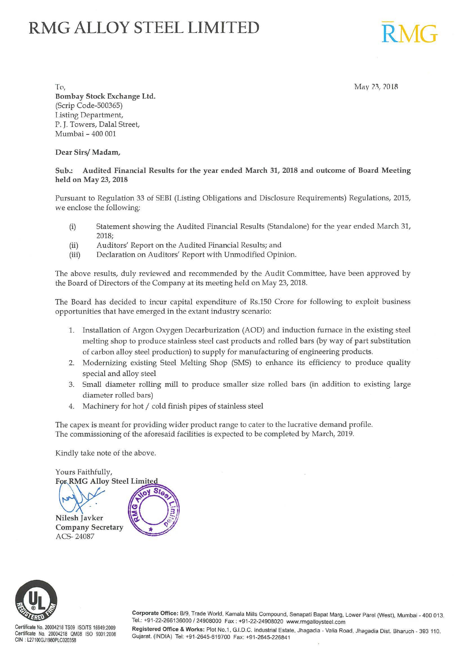# **RMG ALLOY STEEL LIMITED**

 $T_0$ ,  $\frac{Mav}{23}$ , 2018 Bombay Stock Exchange Ltd. (Scrip Code-500365) l .is tine; Department, P. J. Towers, Dalal Street, Mumbai - 400 001

Dear Sirs/ Madam,

# Sub.: Audited Financial Results for the year ended March 31, 2018 and outcome of Board Meeting held on May 23, 2018

Pursuant to Regulation 33 of SEBI (Listing Obligations and Disclosure Requirements) Regulations, 2015, we enclose the following:

- (i) Statement showing the Audited Financial Results (Standalone) for the year ended March 31, 2018;
- (ii) Auditors' Report on the Audited Financial Results; and
- (iii) Declaration on Auditors' Report with Unmodified Opinion.

The above results, duly reviewed and recommended by the Audit Committee, have been approved by the Board of Directors of the Company at its meeting held on May 23, 2018.

The Board has decided to incur capital expenditure of Rs.150 Crore for following to exploit business opportunities that have emerged in the extant industry scenario:

- 1. Installation of Argon Oxygen Decarburization (AOD) and induction furnace in the existing steel melting shop to produce stainless steel cast products and rolled bars (by way of part substitution of carbon alloy steel production) to supply for manufacturing of engineering products.
- 2. Modernizing existing Steel Melting Shop (SMS) to enhance its efficiency to produce quality special and alloy steel
- 3. Small diameter rolling mill to produce smaller size rolled bars (in addition to existing large diameter rolled bars)
- 4. Machinery for hot / cold finish pipes of stainless steel

The capex is meant for providing wider product range to cater to the lucrative demand profile. The commissioning of the aforesaid facilities is expected to be completed by March, 2019.

Kindly take note of the above.





Certificate No. 20004218 TS09 ISOfTS 16949:2009 Certificate No. 20004218 QM08 ISO 9001 :2008 GIN : L27100GJ1980PLC020358

Corporate Office: B/9, Trade World, Kamala Mills Compound, Senapati Bapat Marg, Lower Parel (West), Mumbai - 400 013. Tel.: +91-22-266136000 /24908000 Fax: +91-22-24908020 www.rmgalloysteel.com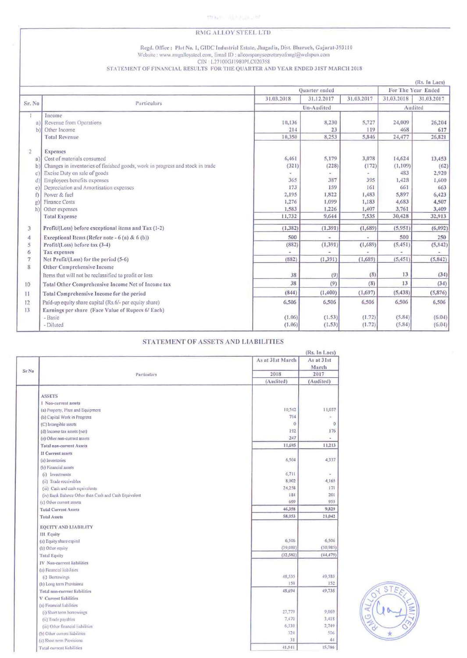### RMG ALLOY STEEL LTD

# Regd. Office: Plot No. 1, GIDC Industrial Estate, Jhagadia, Dist. Bharuch, Gujarat-393110 Website : www.rmgalloysteel.com, Email ID : allcompanysecretaryofrmgl@welspun.com CIN : L27100GJ1980PLC020358<br>STATEMENT OF FINANCIAL RESULTS FOR THE QUARTER AND YEAR ENDED 31ST MARCH 2018

|                |                                                                               |            |               |            |                    | (Rs. In Lacs) |
|----------------|-------------------------------------------------------------------------------|------------|---------------|------------|--------------------|---------------|
|                |                                                                               |            | Quarter ended |            | For The Year Ended |               |
|                |                                                                               | 31.03.2018 | 31.12.2017    | 31.03.2017 | 31.03.2018         | 31.03.2017    |
|                | Sr. No<br>Particulars                                                         | Un-Audited |               |            | Audited            |               |
|                | Income                                                                        |            |               |            |                    |               |
| a              | Revenue from Operations                                                       | 10,136     | 8,230         | 5,727      | 24,009             | 26,204        |
| $\mathbf{b}$   | Other Income                                                                  | 214        | 23            | 119        | 468                | 617           |
|                | <b>Total Revenue</b>                                                          | 10,350     | 8,253         | 5,846      | 24,477             | 26,821        |
| $\overline{2}$ | <b>Expenses</b>                                                               |            |               |            |                    |               |
| $\mathbf{a}$   | Cost of materials consumed                                                    | 6,461      | 5,179         | 3,078      | 14,624             | 13,453        |
| b              | Changes in inventories of finished goods, work in progress and stock in trade | (321)      | (228)         | (172)      | (1, 109)           | (62)          |
| C              | Excise Duty on sale of goods                                                  |            |               |            | 483                | 2,920         |
| d              | Employees benefits expenses                                                   | 365        | 387           | 395        | 1,428              | 1,600         |
| e.             | Depreciation and Amortisation expenses                                        | 173        | 159           | 161        | 661                | 663           |
| Ð              | Power & fuel                                                                  | 2,195      | 1,822         | 1,483      | 5,897              | 6,423         |
| g)             | <b>Finance Costs</b>                                                          | 1,276      | 1,099         | 1,183      | 4,683              | 4,507         |
| h              | Other expenses                                                                | 1,583      | 1,226         | 1,407      | 3,761              | 3,409         |
|                | <b>Total Expense</b>                                                          | 11,732     | 9,644         | 7,535      | 30,428             | 32,913        |
| 3              | Profit/(Loss) before exceptional items and Tax (1-2)                          | (1, 382)   | (1, 391)      | (1,689)    | (5,951)            | (6,092)       |
| 4              | Exceptional Items (Refer note - $6$ (a) & $6$ (b))                            | 500        |               |            | 500                | 250           |
| 5              | Profit/(Loss) before tax (3-4)                                                | (882)      | (1, 391)      | (1,689)    | (5, 451)           | (5, 842)      |
| 6              | Tax expenses                                                                  |            |               |            |                    |               |
| $\overline{7}$ | Net Profit/(Loss) for the period (5-6)                                        | (882)      | (1, 391)      | (1,689)    | (5, 451)           | (5, 842)      |
| 8              | Other Comprehensive Income                                                    |            |               |            |                    |               |
|                | Items that will not be reclassified to profit or loss                         | 38         | (9)           | (8)        | 13                 | (34)          |
| 10             | Total Other Comprehensive Income Net of Income tax                            | 38         | (9)           | (8)        | 13                 | (34)          |
| 11             | Total Comprehensive Income for the period                                     | (844)      | (1, 400)      | (1,697)    | (5, 438)           | (5, 876)      |
| 12             | Paid-up equity share capital (Rs.6/- per equity share)                        | 6,506      | 6,506         | 6,506      | 6,506              | 6,506         |
| 13             | Earnings per share (Face Value of Rupees 6/ Each)                             |            |               |            |                    |               |
|                | - Basic                                                                       | (1.06)     | (1.53)        | (1.72)     | (5.84)             | (6.04)        |
|                | - Diluted                                                                     | (1.06)     | (1.53)        | (1.72)     | (5.84)             | (6.04)        |

## STATEMENT OF ASSETS AND LIABILITIES

|       |                                                       |                  | (Rs. In Lacs)       |
|-------|-------------------------------------------------------|------------------|---------------------|
|       |                                                       | As at 31st March | As at 31st<br>March |
| Sr No | Particulars                                           | 2018             | 2017                |
|       |                                                       | (Audited)        | (Audited)           |
|       | <b>ASSETS</b>                                         |                  |                     |
|       | 1 Non-current assets                                  |                  |                     |
|       | (a) Property, Plant and Equipment                     | 10,542           | 11,037              |
|       | (b) Capital Work in Progress                          | 714              |                     |
|       | (C) Intangible assets                                 | $\theta$         | $\mathbf{0}$        |
|       | (d) Income tax assets (net)                           | 192              | 176                 |
|       | (e) Other non-current assets                          | 247              |                     |
|       | <b>Total non-current Assets</b>                       | 11,695           | 11,213              |
|       | II Current assets                                     |                  |                     |
|       | (a) Inventories                                       | 6,504            | 4,337               |
|       | (b) Financial assets                                  |                  |                     |
|       | (i) Investments                                       | 6,711            |                     |
|       | (ii) Trade receivables                                | 8,002            | 4,165               |
|       | (iii) Cash and cash equivalents                       | 24,258           | 171                 |
|       | (iv) Bank Balance Other than Cash and Cash Equivalent | 184              | 201                 |
|       | (c) Other current assets                              | 699              | 955                 |
|       | <b>Total Current Assets</b>                           | 46,358           | 9,829               |
|       | <b>Total Assets</b>                                   | 58.053           | 21,042              |
|       | <b>EQUITY AND LIABILITY</b>                           |                  |                     |
|       | <b>III</b> Equity                                     |                  |                     |
|       | (a) Equity share capital                              | 6,506            | 6,506               |
|       | (b) Other equity                                      | (39,088)         | (50,985)            |
|       | <b>Total Equity</b>                                   | (32, 582)        | (44.479)            |
|       | IV Non-current liabilities                            |                  |                     |
|       | (a) Financial liabilities                             |                  |                     |
|       | (i) Borrowings                                        | 48,535           | 49,583              |
|       | (b) Long term Provisions                              | 159              | 152                 |
|       | Total non-current liabilities                         | 48,694           | 49,735              |
|       | V Current liabilities                                 |                  |                     |
|       | (a) Financial liabilities                             |                  |                     |
|       | (i) Short term borrowings                             | 27,779           | 9,069               |
|       | (ii) Trade payables                                   | 7,470            | 3,418               |
|       | (iii) Other financial liabilities                     | 6,330            | 2,749               |
|       | (b) Other current liabilities                         | 324              | 506                 |
|       | (c) Short term Provisions                             | 38               | 44                  |
|       | <b>Total current liabilities</b>                      | 41,941           | 15,786              |

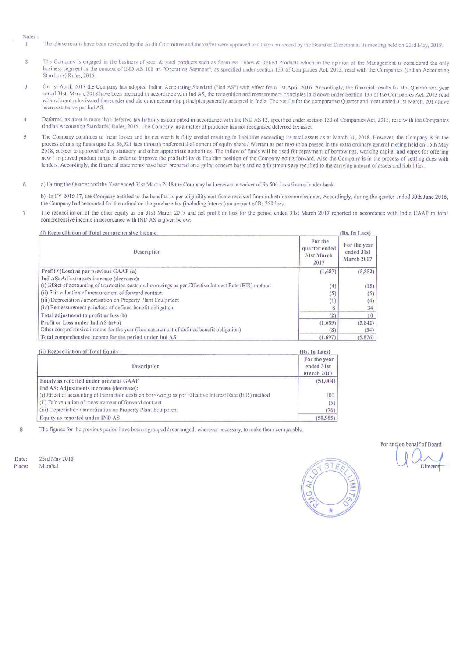### Notes-

- $\overline{1}$ The above results have been reviewed by the Audit Committee and thereafter were approved and taken on record by the Board of Directors at its meeting held on 23rd May, 2018.
- 2 The Company is engaged in the business of steel & steel products such as Seamless Tubes & Rolled Products which in the opinion of the Management is considered the only business segment in the context of IND AS 108 on "Operating Segment", as specified under section 133 of Companies Act, 2013, read with the Companies (Indian Accounting Standards) Rules, 2015.
- 3 On 1st April, 2017 the Company has adopted Indian Accounting Standard ("Ind AS") with effect from 1st April 2016. Accordingly, the financial results for the Quarter and year ended 31st March, 2018 have been prepared in accordance with Ind AS, the recognition and measurement principles laid down under Section 133 of the Companies Act, 2013 read with relevant rules issued thereunder and the other accounting principles generally accepted in India. The results for the comparative Quarter and Year ended 3 Ist March. 2017 have been restated as per lnd AS.
- 4 Deferred tax asset is more than deferred tax liability as computed in accordance with the IND AS 12, specified under section 133 of Companies Act, 2013, read with the Companies (Indian Accounting Standards) Rules, 2015. The Company, as a matter of prudence has not recognised deferred tax asset.
- 5 The Company continues to incur losses and its net worth is fully eroded resulting in liabilities exceeding its total assets as at March 31, 2018. However, the Company is in the process of raising funds upto Rs. 36,921 lacs through preferential allotment of equity share / Warrant as per resolution passed in the extra ordinary general meting held on 15th May 2018, subject to approval of any statutory and other appropriate authorities. The inflow of funds will be used for repayment of borrowings, working capital and capex for offering new I improved product range in order to improve the profitability & liquidity position of the Company going forward. Also the Company is in the process of settling dues with lenders. Accordingly, the financial statements have been prepared on a going conccm basis and no adjustments are required to the carrying amount of assets and liabilities.

### 6 a) During the Quarter and the Year ended 31st March 2018 the Company had received a waiver of Rs 500 Lacs from a lender bank.

b) In FY 2016-17, the Company entitled to the benefits as per eligibility certificate received from industries commissioner. Accordingly, during the quarter ended 30th June 2016, the Company had accounted for the refund on the purchase tax (including interest) an amount of Rs.250 lacs.

7 The reconciliation of the other equity as on 31st March 2017 and net profit or loss for the period ended 31st March 2017 reported in accordance with India GAAP to total comprehensive income in accordance with !NO AS is given below:

| (i) Reconciliation of Total comprehensive income                                                        |                                                | (Rs. In Lacs)                            |
|---------------------------------------------------------------------------------------------------------|------------------------------------------------|------------------------------------------|
| Description                                                                                             | For the<br>quarter ended<br>31st March<br>2017 | For the year<br>ended 31st<br>March 2017 |
| Profit / (Loss) as per previous GAAP (a)                                                                | (1,687)                                        | (5,852)                                  |
| Ind AS: Adjustments increase (decrease):                                                                |                                                |                                          |
| (i) Effect of accounting of transaction costs on borrowings as per Effective Interest Rate (EIR) method | (4)                                            | (15)                                     |
| (ii) Fair valuation of measurement of forward contract                                                  | (5)                                            | (5)                                      |
| (iii) Depreciation / amortisation on Property Plant Equipment                                           | (1)                                            | (4)                                      |
| (iv) Remeasurement gain/loss of defined benefit obligation                                              |                                                | 34                                       |
| Total adjustment to profit or loss (b)                                                                  | (2)                                            | 10 <sup>1</sup>                          |
| Profit or Loss under Ind AS $(a+b)$                                                                     | (1,689)                                        | (5, 842)                                 |
| Other comprehensive income for the year (Remeasurement of defined benefit obligation)                   | (8)                                            | (34)                                     |
| Total comprehensive income for the period under Ind AS                                                  | (1,697)                                        | (5, 876)                                 |

(ii) Reconciliation of Total Equity:  $(Rs. In Lacs)$ 

| Description                                                                                             | For the year<br>ended 31st<br>March 2017 |
|---------------------------------------------------------------------------------------------------------|------------------------------------------|
| Equity as reported under previous GAAP                                                                  | (51,004)                                 |
| Ind AS: Adjustments increase (decrease):                                                                |                                          |
| (i) Effect of accounting of transaction costs on borrowings as per Effective Interest Rate (EIR) method | 100                                      |
| (ii) Fair valuation of measurement of forward contract                                                  | (5)                                      |
| (iii) Depreciation / amortisation on Property Plant Equipment                                           |                                          |
| Equity as reported under IND AS                                                                         | (50, 985)                                |

8 The figures for the previous period have been regrouped / rearranged, wherever necessary, to make them comparable.

Date: Place: 2Jrd May 2018 Mumbai



For and on behalf of Board Q Opirector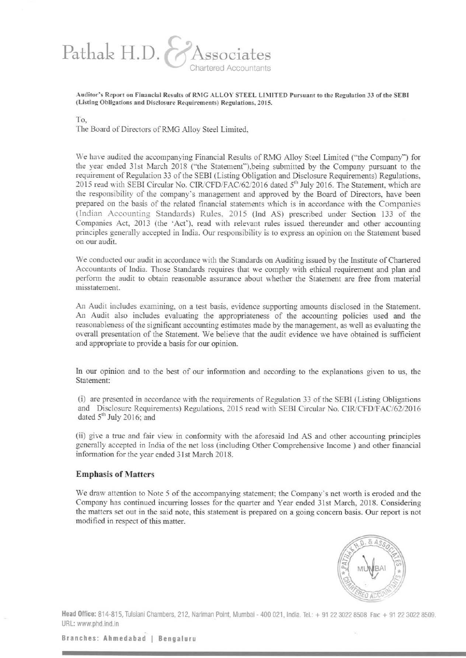# Pathak H.D. Chartered Accountants

Auditor's Report on Financial Results of RMG ALLOY STEEL LIMITED Pursuant to the Regulation 33 of the SEBI (Listing Obligations and Disclosure Requirements) Regulations, 2015.

To,

The Board of Directors of RMG Alloy Steel Limited,

We have audited the accompanying Financial Results of RMG Alloy Steel Limited ("the Company'") for the year ended 31st March 2018 ("the Statement"), being submitted by the Company pursuant to the requirement of Regulation 33 of the SEBI (Listing Obligation and Disclosure Requirements) Regulations, 2015 read with SEBI Circular No. CIR/CFD/FAC/62/2016 dated 5<sup>th</sup> July 2016. The Statement, which are the responsibility of the company's management and approved by the Board of Directors, have been prepared on the basis of the related fmancial statements which is in accordance with the Companies (Indian Accounting Standards) Rules, 2015 (Ind AS) prescribed under Section 133 of the Companies Act, 2013 (the 'Act'), read with relevant rules issued thereunder and other accounting principles generally accepted in India. Our responsibility is to express an opinion on the Statement based on our audit.

We conducted our audit in accordance with the Standards on Auditing issued by the Institute of Chartered Accountants of India. Those Standards requires that we comply with ethical requirement and plan and perfonn the audit to obtain reasonable assurance about whether the Statement are free from material misstatement.

An Audit includes examining, on a test basis, evidence supporting amounts disclosed in the Statement. An Audit also includes evaluating the appropriateness of the accounting policies used and the reasonableness of the significant accounting estimates made by the management, as well as evaluating the overall presentation of the Statement. We believe that the audit evidence we have obtained is sufficient and appropriate to provide a basis for our opinion.

In our opinion and to the best of our infonnation and according to the explanations given to us, the Statement:

(i) are presented in accordance with the requirements of Regulation 33 of the SEBI (Listing Obligations and Disclosure Requirements) Regulations, 2015 read with SEBI Circular No. CIR/CFD/FAC/62/2016 dated  $5<sup>th</sup>$  July 2016; and

(ii) give a true and fair view in confonnity with the aforesaid Ind AS and other accounting principles generally accepted in India of the net loss (including Other Comprehensive Income) and other financial infonnation for the year ended 31st March 2018.

# **Emphasis of Matters**

We draw attention to Note 5 of the accompanying statement; the Company's net worth is eroded and the Company has continued incurring losses for the quarter and Year ended 31st March, 2018. Considering the matters set out in the said note, this statement is prepared on a going concern basis. Our report is not modified in respect of this matter.



**Head Office:** 814·815, Tulsiani Chambers. 212. Nariman Point, Mumbai - 400 021, India. Tel.: + 91 22 3022 8508 Fax: + 91 22 3022 8509. URL: www.phd.ind.in

**Branches: Ahmedabad 1 Bengaluru**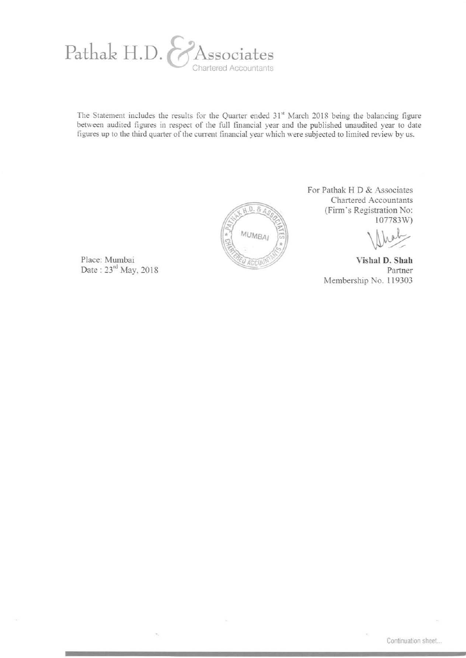

The Statement includes the results for the Quarter ended  $31<sup>st</sup>$  March 2018 being the balancing figure between audited figures in respect of the full financial year and the published unaudited year to date figures up to the third quarter of the current financial year which were subjected to limited review by us.



Place: Mumbai Date: 23<sup>rd</sup> May, 2018 For Pathak H D & Associates Chartered Accountants (Finn's Registration No: 107783W)

 $\sqrt{2\pi}$ 

**Yishal D. Shah**  Partner Membership No. 119303